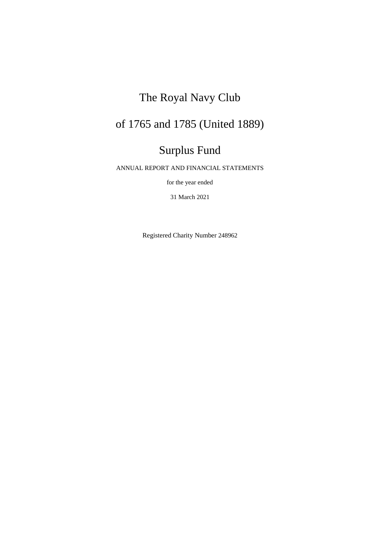# The Royal Navy Club

# of 1765 and 1785 (United 1889)

# Surplus Fund

ANNUAL REPORT AND FINANCIAL STATEMENTS

for the year ended

31 March 2021

Registered Charity Number 248962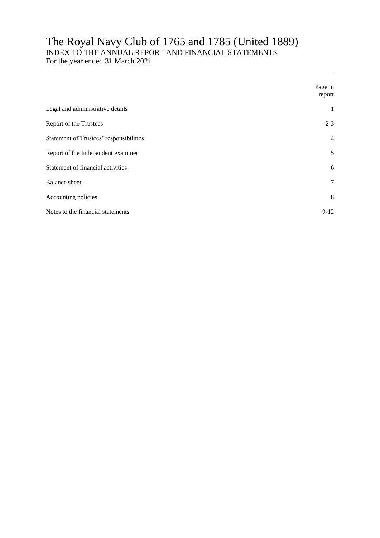# The Royal Navy Club of 1765 and 1785 (United 1889)

### INDEX TO THE ANNUAL REPORT AND FINANCIAL STATEMENTS

For the year ended 31 March 2021

|                                         | Page in<br>report |
|-----------------------------------------|-------------------|
| Legal and administrative details        | 1                 |
| Report of the Trustees                  | $2 - 3$           |
| Statement of Trustees' responsibilities | $\overline{4}$    |
| Report of the Independent examiner      | 5                 |
| Statement of financial activities       | 6                 |
| <b>Balance</b> sheet                    | $\tau$            |
| Accounting policies                     | 8                 |
| Notes to the financial statements       | $9-12$            |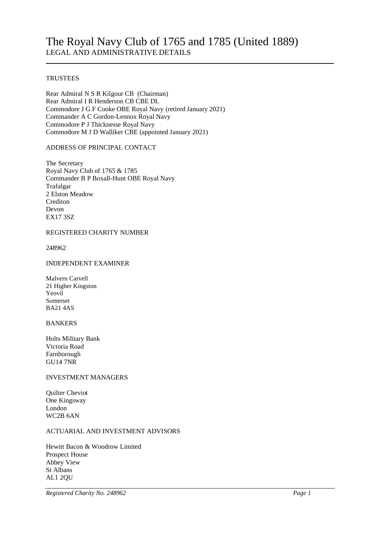#### **TRUSTEES**

Rear Admiral N S R Kilgour CB (Chairman) Rear Admiral I R Henderson CB CBE DL Commodore J G F Cooke OBE Royal Navy (retired January 2021) Commander A C Gordon-Lennox Royal Navy Commodore P J Thicknesse Royal Navy Commodore M J D Walliker CBE (appointed January 2021)

#### ADDRESS OF PRINCIPAL CONTACT

The Secretary Royal Navy Club of 1765 & 1785 Commander B P Boxall-Hunt OBE Royal Navy Trafalgar 2 Elston Meadow Crediton Devon EX17 3SZ

#### REGISTERED CHARITY NUMBER

248962

#### INDEPENDENT EXAMINER

Malvern Carvell 21 Higher Kingston Yeovil Somerset BA21 4AS

#### BANKERS

Holts Military Bank Victoria Road Farnborough GU14 7NR

#### INVESTMENT MANAGERS

Quilter Cheviot One Kingsway London WC2B 6AN

#### ACTUARIAL AND INVESTMENT ADVISORS

Hewitt Bacon & Woodrow Limited Prospect House Abbey View St Albans AL1 2QU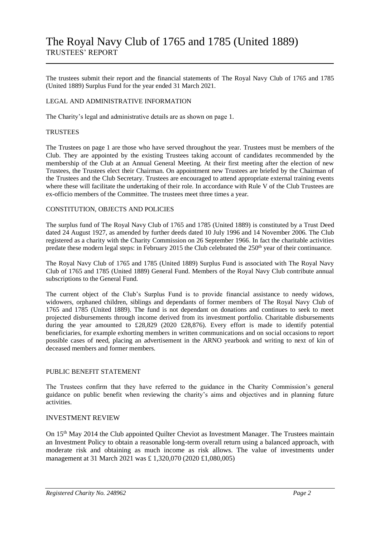The trustees submit their report and the financial statements of The Royal Navy Club of 1765 and 1785 (United 1889) Surplus Fund for the year ended 31 March 2021.

#### LEGAL AND ADMINISTRATIVE INFORMATION

The Charity's legal and administrative details are as shown on page 1.

#### **TRUSTEES**

The Trustees on page 1 are those who have served throughout the year. Trustees must be members of the Club. They are appointed by the existing Trustees taking account of candidates recommended by the membership of the Club at an Annual General Meeting. At their first meeting after the election of new Trustees, the Trustees elect their Chairman. On appointment new Trustees are briefed by the Chairman of the Trustees and the Club Secretary. Trustees are encouraged to attend appropriate external training events where these will facilitate the undertaking of their role. In accordance with Rule V of the Club Trustees are ex-officio members of the Committee. The trustees meet three times a year.

#### CONSTITUTION, OBJECTS AND POLICIES

The surplus fund of The Royal Navy Club of 1765 and 1785 (United 1889) is constituted by a Trust Deed dated 24 August 1927, as amended by further deeds dated 10 July 1996 and 14 November 2006. The Club registered as a charity with the Charity Commission on 26 September 1966. In fact the charitable activities predate these modern legal steps: in February 2015 the Club celebrated the 250<sup>th</sup> year of their continuance.

The Royal Navy Club of 1765 and 1785 (United 1889) Surplus Fund is associated with The Royal Navy Club of 1765 and 1785 (United 1889) General Fund. Members of the Royal Navy Club contribute annual subscriptions to the General Fund.

The current object of the Club's Surplus Fund is to provide financial assistance to needy widows, widowers, orphaned children, siblings and dependants of former members of The Royal Navy Club of 1765 and 1785 (United 1889). The fund is not dependant on donations and continues to seek to meet projected disbursements through income derived from its investment portfolio. Charitable disbursements during the year amounted to £28,829 (2020 £28,876). Every effort is made to identify potential beneficiaries, for example exhorting members in written communications and on social occasions to report possible cases of need, placing an advertisement in the ARNO yearbook and writing to next of kin of deceased members and former members.

#### PUBLIC BENEFIT STATEMENT

The Trustees confirm that they have referred to the guidance in the Charity Commission's general guidance on public benefit when reviewing the charity's aims and objectives and in planning future activities.

#### INVESTMENT REVIEW

On 15th May 2014 the Club appointed Quilter Cheviot as Investment Manager. The Trustees maintain an Investment Policy to obtain a reasonable long-term overall return using a balanced approach, with moderate risk and obtaining as much income as risk allows. The value of investments under management at 31 March 2021 was £ 1,320,070 (2020 £1,080,005)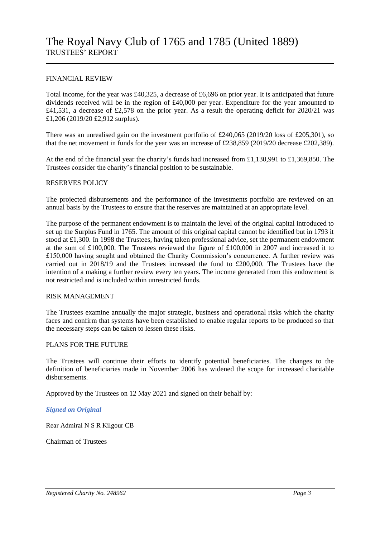#### FINANCIAL REVIEW

Total income, for the year was £40,325, a decrease of £6,696 on prior year. It is anticipated that future dividends received will be in the region of £40,000 per year. Expenditure for the year amounted to £41,531, a decrease of £2,578 on the prior year. As a result the operating deficit for 2020/21 was £1,206 (2019/20 £2,912 surplus).

There was an unrealised gain on the investment portfolio of £240,065 (2019/20 loss of £205,301), so that the net movement in funds for the year was an increase of £238,859 (2019/20 decrease £202,389).

At the end of the financial year the charity's funds had increased from £1,130,991 to £1,369,850. The Trustees consider the charity's financial position to be sustainable.

#### RESERVES POLICY

The projected disbursements and the performance of the investments portfolio are reviewed on an annual basis by the Trustees to ensure that the reserves are maintained at an appropriate level.

The purpose of the permanent endowment is to maintain the level of the original capital introduced to set up the Surplus Fund in 1765. The amount of this original capital cannot be identified but in 1793 it stood at £1,300. In 1998 the Trustees, having taken professional advice, set the permanent endowment at the sum of £100,000. The Trustees reviewed the figure of £100,000 in 2007 and increased it to £150,000 having sought and obtained the Charity Commission's concurrence. A further review was carried out in 2018/19 and the Trustees increased the fund to £200,000. The Trustees have the intention of a making a further review every ten years. The income generated from this endowment is not restricted and is included within unrestricted funds.

#### RISK MANAGEMENT

The Trustees examine annually the major strategic, business and operational risks which the charity faces and confirm that systems have been established to enable regular reports to be produced so that the necessary steps can be taken to lessen these risks.

#### PLANS FOR THE FUTURE

The Trustees will continue their efforts to identify potential beneficiaries. The changes to the definition of beneficiaries made in November 2006 has widened the scope for increased charitable disbursements.

Approved by the Trustees on 12 May 2021 and signed on their behalf by:

#### *Signed on Original*

Rear Admiral N S R Kilgour CB

Chairman of Trustees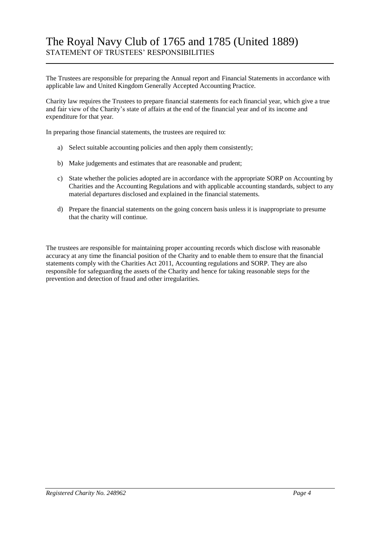# The Royal Navy Club of 1765 and 1785 (United 1889) STATEMENT OF TRUSTEES' RESPONSIBILITIES

The Trustees are responsible for preparing the Annual report and Financial Statements in accordance with applicable law and United Kingdom Generally Accepted Accounting Practice.

Charity law requires the Trustees to prepare financial statements for each financial year, which give a true and fair view of the Charity's state of affairs at the end of the financial year and of its income and expenditure for that year.

In preparing those financial statements, the trustees are required to:

- a) Select suitable accounting policies and then apply them consistently;
- b) Make judgements and estimates that are reasonable and prudent;
- c) State whether the policies adopted are in accordance with the appropriate SORP on Accounting by Charities and the Accounting Regulations and with applicable accounting standards, subject to any material departures disclosed and explained in the financial statements.
- d) Prepare the financial statements on the going concern basis unless it is inappropriate to presume that the charity will continue.

The trustees are responsible for maintaining proper accounting records which disclose with reasonable accuracy at any time the financial position of the Charity and to enable them to ensure that the financial statements comply with the Charities Act 2011, Accounting regulations and SORP. They are also responsible for safeguarding the assets of the Charity and hence for taking reasonable steps for the prevention and detection of fraud and other irregularities.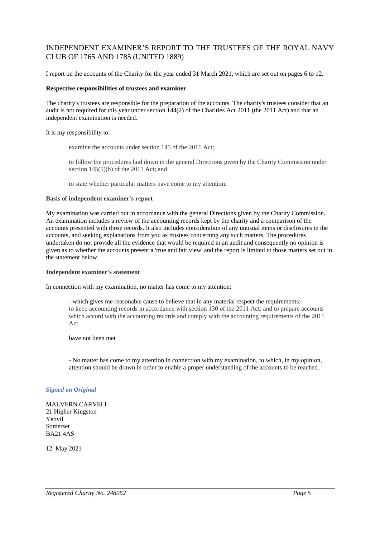### INDEPENDENT EXAMINER'S REPORT TO THE TRUSTEES OF THE ROYAL NAVY CLUB OF 1765 AND 1785 (UNITED 1889)

I report on the accounts of the Charity for the year ended 31 March 2021, which are set out on pages 6 to 12.

#### **Respective responsibilities of trustees and examiner**

The charity's trustees are responsible for the preparation of the accounts. The charity's trustees consider that an audit is not required for this year under section 144(2) of the Charities Act 2011 (the 2011 Act) and that an independent examination is needed.

It is my responsibility to:

examine the accounts under section 145 of the 2011 Act;

to follow the procedures laid down in the general Directions given by the Charity Commission under section 145(5)(b) of the 2011 Act; and

to state whether particular matters have come to my attention.

#### **Basis of independent examiner's report**

My examination was carried out in accordance with the general Directions given by the Charity Commission. An examination includes a review of the accounting records kept by the charity and a comparison of the accounts presented with those records. It also includes consideration of any unusual items or disclosures in the accounts, and seeking explanations from you as trustees concerning any such matters. The procedures undertaken do not provide all the evidence that would be required in an audit and consequently no opinion is given as to whether the accounts present a 'true and fair view' and the report is limited to those matters set out in the statement below.

#### **Independent examiner's statement**

In connection with my examination, no matter has come to my attention:

- which gives me reasonable cause to believe that in any material respect the requirements: to keep accounting records in accordance with section 130 of the 2011 Act; and to prepare accounts which accord with the accounting records and comply with the accounting requirements of the 2011 Act

have not been met

- No matter has come to my attention in connection with my examination, to which, in my opinion, attention should be drawn in order to enable a proper understanding of the accounts to be reached.

#### *Signed on Original*

MALVERN CARVELL 21 Higher Kingston Yeovil Somerset BA21 4AS

12 May 2021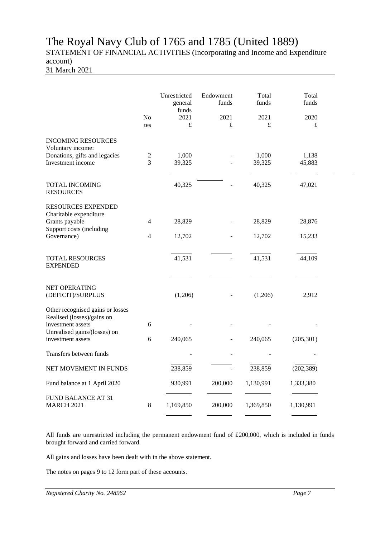## The Royal Navy Club of 1765 and 1785 (United 1889) STATEMENT OF FINANCIAL ACTIVITIES (Incorporating and Income and Expenditure account)

31 March 2021

|                                                                                                                                          | No<br>tes                        | Unrestricted<br>general<br>funds<br>2021<br>£ | Endowment<br>funds<br>2021<br>£ | Total<br>funds<br>2021<br>£ | Total<br>funds<br>2020<br>£ |  |
|------------------------------------------------------------------------------------------------------------------------------------------|----------------------------------|-----------------------------------------------|---------------------------------|-----------------------------|-----------------------------|--|
| <b>INCOMING RESOURCES</b><br>Voluntary income:<br>Donations, gifts and legacies<br>Investment income                                     | $\sqrt{2}$<br>3                  | 1,000<br>39,325                               |                                 | 1,000<br>39,325             | 1,138<br>45,883             |  |
| <b>TOTAL INCOMING</b><br><b>RESOURCES</b>                                                                                                |                                  | 40,325                                        |                                 | 40,325                      | 47,021                      |  |
| <b>RESOURCES EXPENDED</b><br>Charitable expenditure<br>Grants payable<br>Support costs (including<br>Governance)                         | $\overline{4}$<br>$\overline{4}$ | 28,829<br>12,702                              |                                 | 28,829<br>12,702            | 28,876<br>15,233            |  |
| <b>TOTAL RESOURCES</b><br><b>EXPENDED</b>                                                                                                |                                  | 41,531                                        |                                 | 41,531                      | 44,109                      |  |
| NET OPERATING<br>(DEFICIT)/SURPLUS                                                                                                       |                                  | (1,206)                                       |                                 | (1,206)                     | 2,912                       |  |
| Other recognised gains or losses<br>Realised (losses)/gains on<br>investment assets<br>Unrealised gains/(losses) on<br>investment assets | 6<br>6                           | 240,065                                       |                                 | 240,065                     | (205, 301)                  |  |
| Transfers between funds                                                                                                                  |                                  |                                               |                                 |                             |                             |  |
| NET MOVEMENT IN FUNDS                                                                                                                    |                                  | 238,859                                       |                                 | 238,859                     | (202, 389)                  |  |
| Fund balance at 1 April 2020                                                                                                             |                                  | 930,991                                       | 200,000                         | 1,130,991                   | 1,333,380                   |  |
| FUND BALANCE AT 31<br><b>MARCH 2021</b>                                                                                                  | $\,8\,$                          | 1,169,850                                     | 200,000                         | 1,369,850                   | 1,130,991                   |  |

All funds are unrestricted including the permanent endowment fund of £200,000, which is included in funds brought forward and carried forward.

All gains and losses have been dealt with in the above statement.

The notes on pages 9 to 12 form part of these accounts.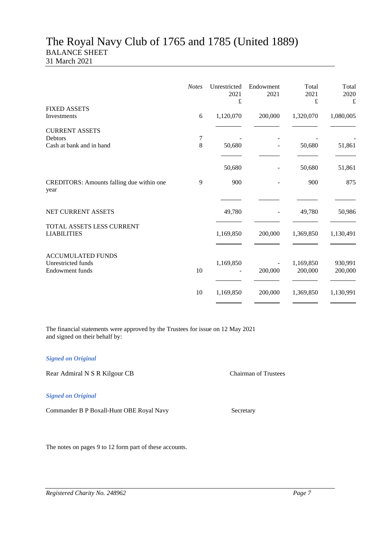### The Royal Navy Club of 1765 and 1785 (United 1889) BALANCE SHEET 31 March 2021

| <b>Notes</b> | Unrestricted<br>2021 | Endowment<br>2021 | Total<br>2021        | Total<br>2020<br>£ |
|--------------|----------------------|-------------------|----------------------|--------------------|
| 6            | 1,120,070            | 200,000           | 1,320,070            | 1,080,005          |
| 7            |                      |                   |                      |                    |
|              | 50,680               |                   | 50,680               | 51,861             |
|              | 50,680               |                   | 50,680               | 51,861             |
| 9            | 900                  |                   | 900                  | 875                |
|              | 49,780               |                   | 49,780               | 50,986             |
|              | 1,169,850            | 200,000           | 1,369,850            | 1,130,491          |
| 10           | 1,169,850            | 200,000           | 1,169,850<br>200,000 | 930,991<br>200,000 |
| 10           | 1,169,850            | 200,000           | 1,369,850            | 1,130,991          |
|              | 8                    | £                 |                      | $\pounds$          |

The financial statements were approved by the Trustees for issue on 12 May 2021 and signed on their behalf by:

#### *Signed on Original*

Rear Admiral N S R Kilgour CB Chairman of Trustees

#### *Signed on Original*

Commander B P Boxall-Hunt OBE Royal Navy Secretary

The notes on pages 9 to 12 form part of these accounts.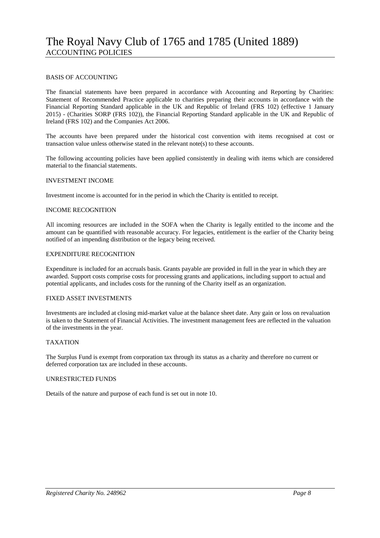#### BASIS OF ACCOUNTING

The financial statements have been prepared in accordance with Accounting and Reporting by Charities: Statement of Recommended Practice applicable to charities preparing their accounts in accordance with the Financial Reporting Standard applicable in the UK and Republic of Ireland (FRS 102) (effective 1 January 2015) - (Charities SORP (FRS 102)), the Financial Reporting Standard applicable in the UK and Republic of Ireland (FRS 102) and the Companies Act 2006.

The accounts have been prepared under the historical cost convention with items recognised at cost or transaction value unless otherwise stated in the relevant note(s) to these accounts.

The following accounting policies have been applied consistently in dealing with items which are considered material to the financial statements.

#### INVESTMENT INCOME

Investment income is accounted for in the period in which the Charity is entitled to receipt.

#### INCOME RECOGNITION

All incoming resources are included in the SOFA when the Charity is legally entitled to the income and the amount can be quantified with reasonable accuracy. For legacies, entitlement is the earlier of the Charity being notified of an impending distribution or the legacy being received.

#### EXPENDITURE RECOGNITION

Expenditure is included for an accruals basis. Grants payable are provided in full in the year in which they are awarded. Support costs comprise costs for processing grants and applications, including support to actual and potential applicants, and includes costs for the running of the Charity itself as an organization.

#### FIXED ASSET INVESTMENTS

Investments are included at closing mid-market value at the balance sheet date. Any gain or loss on revaluation is taken to the Statement of Financial Activities. The investment management fees are reflected in the valuation of the investments in the year.

#### TAXATION

The Surplus Fund is exempt from corporation tax through its status as a charity and therefore no current or deferred corporation tax are included in these accounts.

#### UNRESTRICTED FUNDS

Details of the nature and purpose of each fund is set out in note 10.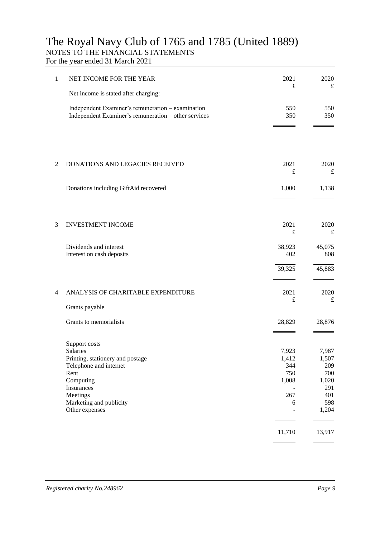## The Royal Navy Club of 1765 and 1785 (United 1889) NOTES TO THE FINANCIAL STATEMENTS

For the year ended 31 March 2021

| 1 | NET INCOME FOR THE YEAR                                                                                                                       | 2021<br>£                                    | 2020<br>£                                           |
|---|-----------------------------------------------------------------------------------------------------------------------------------------------|----------------------------------------------|-----------------------------------------------------|
|   | Net income is stated after charging:                                                                                                          |                                              |                                                     |
|   | Independent Examiner's remuneration - examination<br>Independent Examiner's remuneration - other services                                     | 550<br>350                                   | 550<br>350                                          |
| 2 | <b>DONATIONS AND LEGACIES RECEIVED</b>                                                                                                        | 2021                                         | 2020                                                |
|   |                                                                                                                                               | £                                            | £                                                   |
|   | Donations including GiftAid recovered                                                                                                         | 1,000                                        | 1,138                                               |
|   |                                                                                                                                               |                                              |                                                     |
| 3 | <b>INVESTMENT INCOME</b>                                                                                                                      | 2021<br>$\pounds$                            | 2020<br>£                                           |
|   |                                                                                                                                               |                                              |                                                     |
|   | Dividends and interest<br>Interest on cash deposits                                                                                           | 38,923<br>402                                | 45,075<br>808                                       |
|   |                                                                                                                                               | 39,325                                       | 45,883                                              |
| 4 | ANALYSIS OF CHARITABLE EXPENDITURE                                                                                                            | 2021<br>$\pounds$                            | 2020<br>£                                           |
|   | Grants payable                                                                                                                                |                                              |                                                     |
|   | Grants to memorialists                                                                                                                        | 28,829                                       | 28,876                                              |
|   | Support costs<br><b>Salaries</b><br>Printing, stationery and postage<br>Telephone and internet<br>Rent<br>Computing<br>Insurances<br>Meetings | 7,923<br>1,412<br>344<br>750<br>1,008<br>267 | 7,987<br>1,507<br>209<br>700<br>1,020<br>291<br>401 |
|   | Marketing and publicity<br>Other expenses                                                                                                     | 6                                            | 598<br>1,204                                        |
|   |                                                                                                                                               | 11,710                                       | 13,917                                              |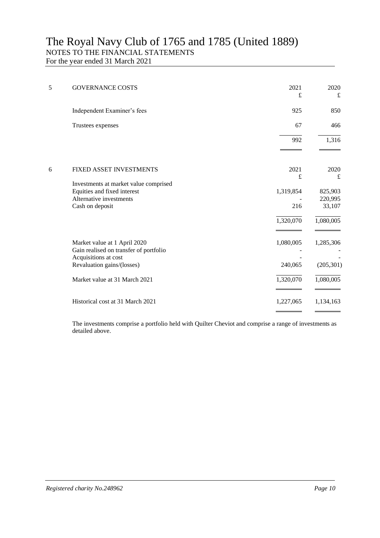## The Royal Navy Club of 1765 and 1785 (United 1889) NOTES TO THE FINANCIAL STATEMENTS For the year ended 31 March 2021

| 5 | <b>GOVERNANCE COSTS</b>                                                                                                      | 2021<br>£            | 2020<br>£                    |
|---|------------------------------------------------------------------------------------------------------------------------------|----------------------|------------------------------|
|   | Independent Examiner's fees                                                                                                  | 925                  | 850                          |
|   | Trustees expenses                                                                                                            | 67                   | 466                          |
|   |                                                                                                                              | 992                  | 1,316                        |
| 6 | FIXED ASSET INVESTMENTS                                                                                                      | 2021<br>£            | 2020<br>£                    |
|   | Investments at market value comprised<br>Equities and fixed interest<br>Alternative investments<br>Cash on deposit           | 1,319,854<br>216     | 825,903<br>220,995<br>33,107 |
|   |                                                                                                                              | 1,320,070            | 1,080,005                    |
|   | Market value at 1 April 2020<br>Gain realised on transfer of portfolio<br>Acquisitions at cost<br>Revaluation gains/(losses) | 1,080,005<br>240,065 | 1,285,306<br>(205, 301)      |
|   | Market value at 31 March 2021                                                                                                | 1,320,070            | 1,080,005                    |
|   | Historical cost at 31 March 2021                                                                                             | 1,227,065            | 1,134,163                    |

The investments comprise a portfolio held with Quilter Cheviot and comprise a range of investments as detailed above.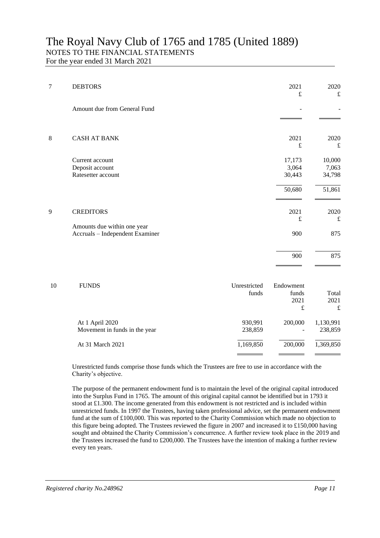# The Royal Navy Club of 1765 and 1785 (United 1889) NOTES TO THE FINANCIAL STATEMENTS

For the year ended 31 March 2021

| 7 | <b>DEBTORS</b>                                                 | 2021<br>$\pounds$           | 2020<br>$\pounds$           |
|---|----------------------------------------------------------------|-----------------------------|-----------------------------|
|   | Amount due from General Fund                                   |                             |                             |
| 8 | <b>CASH AT BANK</b>                                            | 2021<br>$\pounds$           | 2020<br>$\pounds$           |
|   | Current account<br>Deposit account<br>Ratesetter account       | 17,173<br>3,064<br>30,443   | 10,000<br>7,063<br>34,798   |
| 9 | <b>CREDITORS</b>                                               | 50,680<br>2021<br>$\pounds$ | 51,861<br>2020<br>$\pounds$ |
|   | Amounts due within one year<br>Accruals - Independent Examiner | 900                         | 875                         |
|   |                                                                | 900                         | 875                         |

| 10 | <b>FUNDS</b>                  | Unrestricted<br>funds | Endowment<br>funds<br>2021<br>£ | Total<br>2021<br>£ |
|----|-------------------------------|-----------------------|---------------------------------|--------------------|
|    | At 1 April 2020               | 930,991               | 200,000                         | 1,130,991          |
|    | Movement in funds in the year | 238,859               |                                 | 238,859            |
|    | At 31 March 2021              | 1,169,850             | 200,000                         | 1,369,850          |
|    |                               |                       |                                 |                    |

Unrestricted funds comprise those funds which the Trustees are free to use in accordance with the Charity's objective.

The purpose of the permanent endowment fund is to maintain the level of the original capital introduced into the Surplus Fund in 1765. The amount of this original capital cannot be identified but in 1793 it stood at £1.300. The income generated from this endowment is not restricted and is included within unrestricted funds. In 1997 the Trustees, having taken professional advice, set the permanent endowment fund at the sum of £100,000. This was reported to the Charity Commission which made no objection to this figure being adopted. The Trustees reviewed the figure in 2007 and increased it to £150,000 having sought and obtained the Charity Commission's concurrence. A further review took place in the 2019 and the Trustees increased the fund to £200,000. The Trustees have the intention of making a further review every ten years.